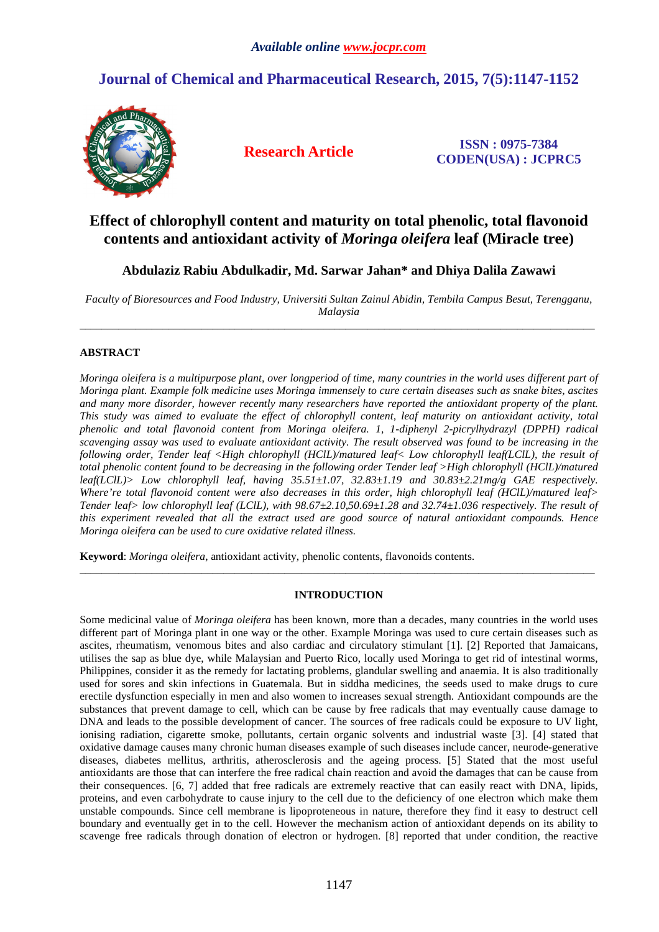# **Journal of Chemical and Pharmaceutical Research, 2015, 7(5):1147-1152**



**Research Article ISSN : 0975-7384 CODEN(USA) : JCPRC5**

## **Effect of chlorophyll content and maturity on total phenolic, total flavonoid contents and antioxidant activity of** *Moringa oleifera* **leaf (Miracle tree)**

**Abdulaziz Rabiu Abdulkadir, Md. Sarwar Jahan\* and Dhiya Dalila Zawawi** 

*Faculty of Bioresources and Food Industry, Universiti Sultan Zainul Abidin, Tembila Campus Besut, Terengganu, Malaysia*  \_\_\_\_\_\_\_\_\_\_\_\_\_\_\_\_\_\_\_\_\_\_\_\_\_\_\_\_\_\_\_\_\_\_\_\_\_\_\_\_\_\_\_\_\_\_\_\_\_\_\_\_\_\_\_\_\_\_\_\_\_\_\_\_\_\_\_\_\_\_\_\_\_\_\_\_\_\_\_\_\_\_\_\_\_\_\_\_\_\_\_\_\_

## **ABSTRACT**

*Moringa oleifera is a multipurpose plant, over longperiod of time, many countries in the world uses different part of Moringa plant. Example folk medicine uses Moringa immensely to cure certain diseases such as snake bites, ascites and many more disorder, however recently many researchers have reported the antioxidant property of the plant. This study was aimed to evaluate the effect of chlorophyll content, leaf maturity on antioxidant activity, total phenolic and total flavonoid content from Moringa oleifera. 1, 1-diphenyl 2-picrylhydrazyl (DPPH) radical scavenging assay was used to evaluate antioxidant activity. The result observed was found to be increasing in the following order, Tender leaf <High chlorophyll (HClL)/matured leaf< Low chlorophyll leaf(LClL), the result of total phenolic content found to be decreasing in the following order Tender leaf >High chlorophyll (HClL)/matured leaf(LClL)> Low chlorophyll leaf, having 35.51±1.07, 32.83±1.19 and 30.83±2.21mg/g GAE respectively. Where're total flavonoid content were also decreases in this order, high chlorophyll leaf (HClL)/matured leaf> Tender leaf> low chlorophyll leaf (LClL), with 98.67±2.10,50.69±1.28 and 32.74±1.036 respectively. The result of this experiment revealed that all the extract used are good source of natural antioxidant compounds. Hence Moringa oleifera can be used to cure oxidative related illness.* 

**Keyword**: *Moringa oleifera*, antioxidant activity, phenolic contents, flavonoids contents.

## **INTRODUCTION**

\_\_\_\_\_\_\_\_\_\_\_\_\_\_\_\_\_\_\_\_\_\_\_\_\_\_\_\_\_\_\_\_\_\_\_\_\_\_\_\_\_\_\_\_\_\_\_\_\_\_\_\_\_\_\_\_\_\_\_\_\_\_\_\_\_\_\_\_\_\_\_\_\_\_\_\_\_\_\_\_\_\_\_\_\_\_\_\_\_\_\_\_\_

Some medicinal value of *Moringa oleifera* has been known, more than a decades, many countries in the world uses different part of Moringa plant in one way or the other. Example Moringa was used to cure certain diseases such as ascites, rheumatism, venomous bites and also cardiac and circulatory stimulant [1]. [2] Reported that Jamaicans, utilises the sap as blue dye, while Malaysian and Puerto Rico, locally used Moringa to get rid of intestinal worms, Philippines, consider it as the remedy for lactating problems, glandular swelling and anaemia. It is also traditionally used for sores and skin infections in Guatemala. But in siddha medicines, the seeds used to make drugs to cure erectile dysfunction especially in men and also women to increases sexual strength. Antioxidant compounds are the substances that prevent damage to cell, which can be cause by free radicals that may eventually cause damage to DNA and leads to the possible development of cancer. The sources of free radicals could be exposure to UV light, ionising radiation, cigarette smoke, pollutants, certain organic solvents and industrial waste [3]. [4] stated that oxidative damage causes many chronic human diseases example of such diseases include cancer, neurode-generative diseases, diabetes mellitus, arthritis, atherosclerosis and the ageing process. [5] Stated that the most useful antioxidants are those that can interfere the free radical chain reaction and avoid the damages that can be cause from their consequences. [6, 7] added that free radicals are extremely reactive that can easily react with DNA, lipids, proteins, and even carbohydrate to cause injury to the cell due to the deficiency of one electron which make them unstable compounds. Since cell membrane is lipoproteneous in nature, therefore they find it easy to destruct cell boundary and eventually get in to the cell. However the mechanism action of antioxidant depends on its ability to scavenge free radicals through donation of electron or hydrogen. [8] reported that under condition, the reactive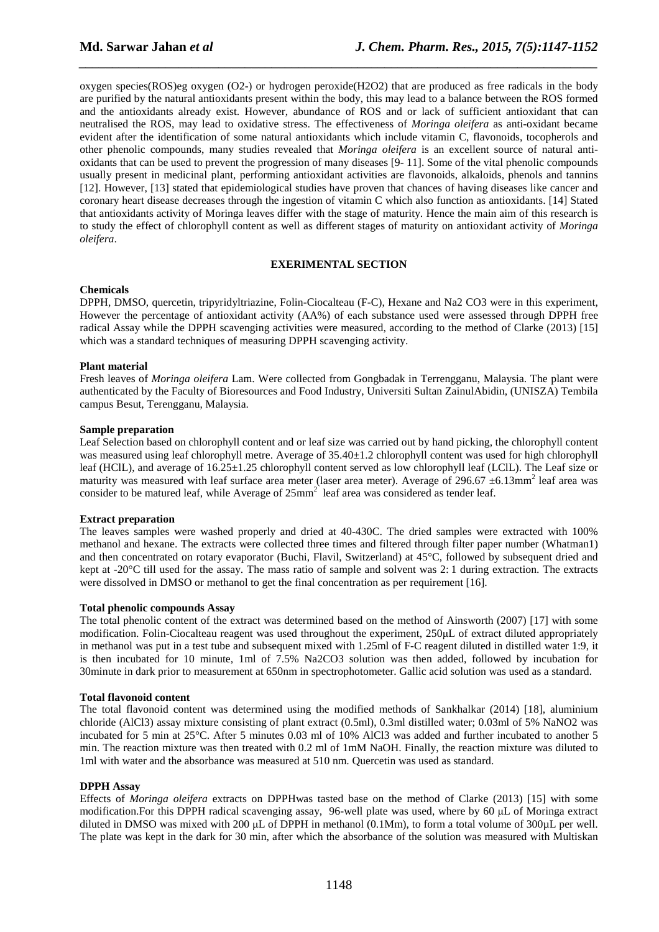oxygen species(ROS)eg oxygen (O2-) or hydrogen peroxide(H2O2) that are produced as free radicals in the body are purified by the natural antioxidants present within the body, this may lead to a balance between the ROS formed and the antioxidants already exist. However, abundance of ROS and or lack of sufficient antioxidant that can neutralised the ROS, may lead to oxidative stress. The effectiveness of *Moringa oleifera* as anti-oxidant became evident after the identification of some natural antioxidants which include vitamin C, flavonoids, tocopherols and other phenolic compounds, many studies revealed that *Moringa oleifera* is an excellent source of natural antioxidants that can be used to prevent the progression of many diseases [9- 11]. Some of the vital phenolic compounds usually present in medicinal plant, performing antioxidant activities are flavonoids, alkaloids, phenols and tannins [12]. However, [13] stated that epidemiological studies have proven that chances of having diseases like cancer and coronary heart disease decreases through the ingestion of vitamin C which also function as antioxidants. [14] Stated that antioxidants activity of Moringa leaves differ with the stage of maturity. Hence the main aim of this research is to study the effect of chlorophyll content as well as different stages of maturity on antioxidant activity of *Moringa oleifera*.

*\_\_\_\_\_\_\_\_\_\_\_\_\_\_\_\_\_\_\_\_\_\_\_\_\_\_\_\_\_\_\_\_\_\_\_\_\_\_\_\_\_\_\_\_\_\_\_\_\_\_\_\_\_\_\_\_\_\_\_\_\_\_\_\_\_\_\_\_\_\_\_\_\_\_\_\_\_\_*

## **EXERIMENTAL SECTION**

### **Chemicals**

DPPH, DMSO, quercetin, tripyridyltriazine, Folin-Ciocalteau (F-C), Hexane and Na2 CO3 were in this experiment, However the percentage of antioxidant activity (AA%) of each substance used were assessed through DPPH free radical Assay while the DPPH scavenging activities were measured, according to the method of Clarke (2013) [15] which was a standard techniques of measuring DPPH scavenging activity.

### **Plant material**

Fresh leaves of *Moringa oleifera* Lam. Were collected from Gongbadak in Terrengganu, Malaysia. The plant were authenticated by the Faculty of Bioresources and Food Industry, Universiti Sultan ZainulAbidin, (UNISZA) Tembila campus Besut, Terengganu, Malaysia.

#### **Sample preparation**

Leaf Selection based on chlorophyll content and or leaf size was carried out by hand picking, the chlorophyll content was measured using leaf chlorophyll metre. Average of  $35.40\pm1.2$  chlorophyll content was used for high chlorophyll leaf (HClL), and average of 16.25±1.25 chlorophyll content served as low chlorophyll leaf (LClL). The Leaf size or maturity was measured with leaf surface area meter (laser area meter). Average of 296.67  $\pm$ 6.13mm<sup>2</sup> leaf area was consider to be matured leaf, while Average of  $25mm^2$  leaf area was considered as tender leaf.

#### **Extract preparation**

The leaves samples were washed properly and dried at 40-430C. The dried samples were extracted with 100% methanol and hexane. The extracts were collected three times and filtered through filter paper number (Whatman1) and then concentrated on rotary evaporator (Buchi, Flavil, Switzerland) at 45°C, followed by subsequent dried and kept at -20°C till used for the assay. The mass ratio of sample and solvent was 2: 1 during extraction. The extracts were dissolved in DMSO or methanol to get the final concentration as per requirement [16].

#### **Total phenolic compounds Assay**

The total phenolic content of the extract was determined based on the method of Ainsworth (2007) [17] with some modification. Folin-Ciocalteau reagent was used throughout the experiment, 250µL of extract diluted appropriately in methanol was put in a test tube and subsequent mixed with 1.25ml of F-C reagent diluted in distilled water 1:9, it is then incubated for 10 minute, 1ml of 7.5% Na2CO3 solution was then added, followed by incubation for 30minute in dark prior to measurement at 650nm in spectrophotometer. Gallic acid solution was used as a standard.

#### **Total flavonoid content**

The total flavonoid content was determined using the modified methods of Sankhalkar (2014) [18], aluminium chloride (AlCl3) assay mixture consisting of plant extract (0.5ml), 0.3ml distilled water; 0.03ml of 5% NaNO2 was incubated for 5 min at 25°C. After 5 minutes 0.03 ml of 10% AlCl3 was added and further incubated to another 5 min. The reaction mixture was then treated with 0.2 ml of 1mM NaOH. Finally, the reaction mixture was diluted to 1ml with water and the absorbance was measured at 510 nm. Quercetin was used as standard.

#### **DPPH Assay**

Effects of *Moringa oleifera* extracts on DPPHwas tasted base on the method of Clarke (2013) [15] with some modification. For this DPPH radical scavenging assay, 96-well plate was used, where by 60 µL of Moringa extract diluted in DMSO was mixed with 200  $\mu$ L of DPPH in methanol (0.1Mm), to form a total volume of 300 $\mu$ L per well. The plate was kept in the dark for 30 min, after which the absorbance of the solution was measured with Multiskan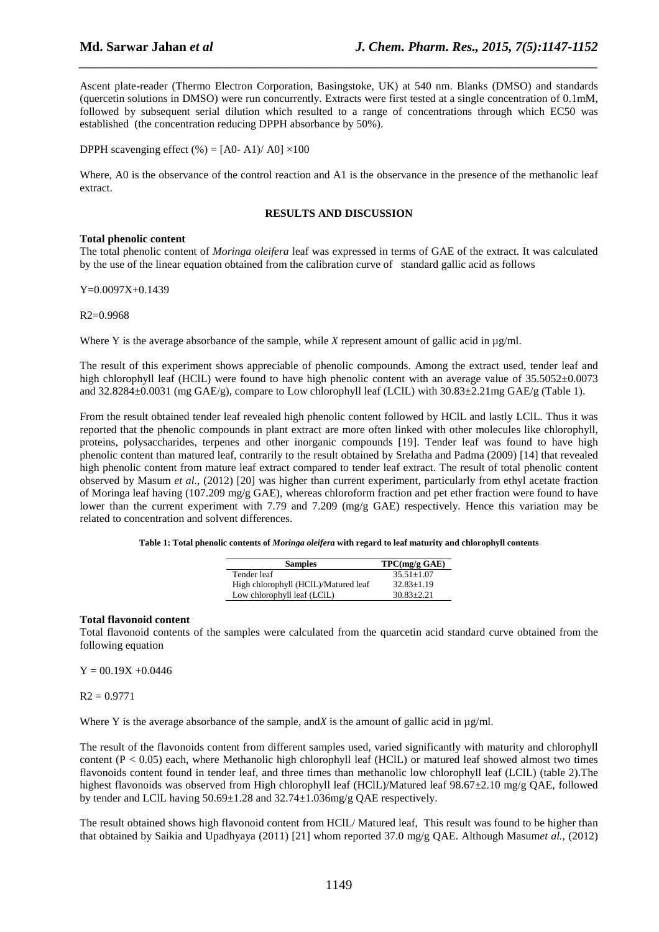Ascent plate-reader (Thermo Electron Corporation, Basingstoke, UK) at 540 nm. Blanks (DMSO) and standards (quercetin solutions in DMSO) were run concurrently. Extracts were first tested at a single concentration of 0.1mM, followed by subsequent serial dilution which resulted to a range of concentrations through which EC50 was established (the concentration reducing DPPH absorbance by 50%).

*\_\_\_\_\_\_\_\_\_\_\_\_\_\_\_\_\_\_\_\_\_\_\_\_\_\_\_\_\_\_\_\_\_\_\_\_\_\_\_\_\_\_\_\_\_\_\_\_\_\_\_\_\_\_\_\_\_\_\_\_\_\_\_\_\_\_\_\_\_\_\_\_\_\_\_\_\_\_*

DPPH scavenging effect  $%$  = [A0- A1)/ A0]  $\times$ 100

Where, A0 is the observance of the control reaction and A1 is the observance in the presence of the methanolic leaf extract.

#### **RESULTS AND DISCUSSION**

### **Total phenolic content**

The total phenolic content of *Moringa oleifera* leaf was expressed in terms of GAE of the extract. It was calculated by the use of the linear equation obtained from the calibration curve of standard gallic acid as follows

Y=0.0097X+0.1439

 $R2=0.9968$ 

Where Y is the average absorbance of the sample, while *X* represent amount of gallic acid in  $\mu$ g/ml.

The result of this experiment shows appreciable of phenolic compounds. Among the extract used, tender leaf and high chlorophyll leaf (HClL) were found to have high phenolic content with an average value of  $35.5052\pm0.0073$ and 32.8284 $\pm$ 0.0031 (mg GAE/g), compare to Low chlorophyll leaf (LClL) with  $30.83\pm2.21$ mg GAE/g (Table 1).

From the result obtained tender leaf revealed high phenolic content followed by HClL and lastly LClL. Thus it was reported that the phenolic compounds in plant extract are more often linked with other molecules like chlorophyll, proteins, polysaccharides, terpenes and other inorganic compounds [19]. Tender leaf was found to have high phenolic content than matured leaf, contrarily to the result obtained by Srelatha and Padma (2009) [14] that revealed high phenolic content from mature leaf extract compared to tender leaf extract. The result of total phenolic content observed by Masum *et al.,* (2012) [20] was higher than current experiment, particularly from ethyl acetate fraction of Moringa leaf having (107.209 mg/g GAE), whereas chloroform fraction and pet ether fraction were found to have lower than the current experiment with 7.79 and 7.209 (mg/g GAE) respectively. Hence this variation may be related to concentration and solvent differences.

**Table 1: Total phenolic contents of** *Moringa oleifera* **with regard to leaf maturity and chlorophyll contents** 

| <b>Samples</b>                       | TPC(mg/g GAE)  |
|--------------------------------------|----------------|
| Tender leaf                          | $35.51 + 1.07$ |
| High chlorophyll (HClL)/Matured leaf | $32.83 + 1.19$ |
| Low chlorophyll leaf (LCIL)          | $30.83 + 2.21$ |

#### **Total flavonoid content**

Total flavonoid contents of the samples were calculated from the quarcetin acid standard curve obtained from the following equation

 $Y = 00.19X + 0.0446$ 

 $R2 = 0.9771$ 

Where Y is the average absorbance of the sample, and X is the amount of gallic acid in  $\mu$ g/ml.

The result of the flavonoids content from different samples used, varied significantly with maturity and chlorophyll content  $(P < 0.05)$  each, where Methanolic high chlorophyll leaf (HClL) or matured leaf showed almost two times flavonoids content found in tender leaf, and three times than methanolic low chlorophyll leaf (LClL) (table 2).The highest flavonoids was observed from High chlorophyll leaf (HClL)/Matured leaf 98.67 $\pm$ 2.10 mg/g QAE, followed by tender and LClL having  $50.69 \pm 1.28$  and  $32.74 \pm 1.036$  mg/g OAE respectively.

The result obtained shows high flavonoid content from HClL/ Matured leaf, This result was found to be higher than that obtained by Saikia and Upadhyaya (2011) [21] whom reported 37.0 mg/g QAE. Although Masum*et al.,* (2012)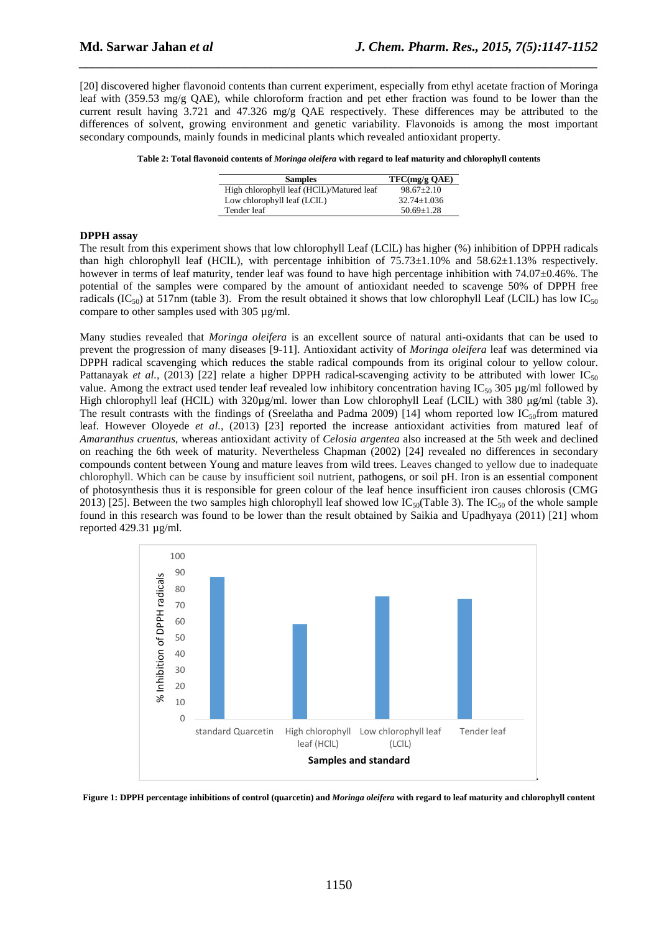[20] discovered higher flavonoid contents than current experiment, especially from ethyl acetate fraction of Moringa leaf with (359.53 mg/g QAE), while chloroform fraction and pet ether fraction was found to be lower than the current result having 3.721 and 47.326 mg/g OAE respectively. These differences may be attributed to the differences of solvent, growing environment and genetic variability. Flavonoids is among the most important secondary compounds, mainly founds in medicinal plants which revealed antioxidant property.

*\_\_\_\_\_\_\_\_\_\_\_\_\_\_\_\_\_\_\_\_\_\_\_\_\_\_\_\_\_\_\_\_\_\_\_\_\_\_\_\_\_\_\_\_\_\_\_\_\_\_\_\_\_\_\_\_\_\_\_\_\_\_\_\_\_\_\_\_\_\_\_\_\_\_\_\_\_\_*

| Table 2: Total flavonoid contents of Moringa oleifera with regard to leaf maturity and chlorophyll contents |  |  |
|-------------------------------------------------------------------------------------------------------------|--|--|
|                                                                                                             |  |  |

| <b>Samples</b>                            | TFC(mg/g QAE)   |
|-------------------------------------------|-----------------|
| High chlorophyll leaf (HClL)/Matured leaf | $98.67 + 2.10$  |
| Low chlorophyll leaf (LCIL)               | $32.74 + 1.036$ |
| Tender leaf                               | $50.69 + 1.28$  |

#### **DPPH assay**

The result from this experiment shows that low chlorophyll Leaf (LClL) has higher (%) inhibition of DPPH radicals than high chlorophyll leaf (HClL), with percentage inhibition of  $75.73\pm1.10\%$  and  $58.62\pm1.13\%$  respectively. however in terms of leaf maturity, tender leaf was found to have high percentage inhibition with 74.07 $\pm$ 0.46%. The potential of the samples were compared by the amount of antioxidant needed to scavenge 50% of DPPH free radicals (IC<sub>50</sub>) at 517nm (table 3). From the result obtained it shows that low chlorophyll Leaf (LClL) has low IC<sub>50</sub> compare to other samples used with 305 µg/ml.

Many studies revealed that *Moringa oleifera* is an excellent source of natural anti-oxidants that can be used to prevent the progression of many diseases [9-11]. Antioxidant activity of *Moringa oleifera* leaf was determined via DPPH radical scavenging which reduces the stable radical compounds from its original colour to yellow colour. Pattanayak *et al.*, (2013) [22] relate a higher DPPH radical-scavenging activity to be attributed with lower  $IC_{50}$ value. Among the extract used tender leaf revealed low inhibitory concentration having IC<sub>50</sub> 305 µg/ml followed by High chlorophyll leaf (HClL) with 320µg/ml. lower than Low chlorophyll Leaf (LClL) with 380 µg/ml (table 3). The result contrasts with the findings of (Sreelatha and Padma 2009) [14] whom reported low  $IC_{50}$ from matured leaf. However Oloyede *et al.*, (2013) [23] reported the increase antioxidant activities from matured leaf of *Amaranthus cruentus*, whereas antioxidant activity of *Celosia argentea* also increased at the 5th week and declined on reaching the 6th week of maturity. Nevertheless Chapman (2002) [24] revealed no differences in secondary compounds content between Young and mature leaves from wild trees. Leaves changed to yellow due to inadequate chlorophyll. Which can be cause by insufficient soil nutrient, pathogens, or soil pH. Iron is an essential component of photosynthesis thus it is responsible for green colour of the leaf hence insufficient iron causes chlorosis (CMG 2013) [25]. Between the two samples high chlorophyll leaf showed low IC<sub>50</sub>(Table 3). The IC<sub>50</sub> of the whole sample found in this research was found to be lower than the result obtained by Saikia and Upadhyaya (2011) [21] whom reported 429.31 µg/ml.



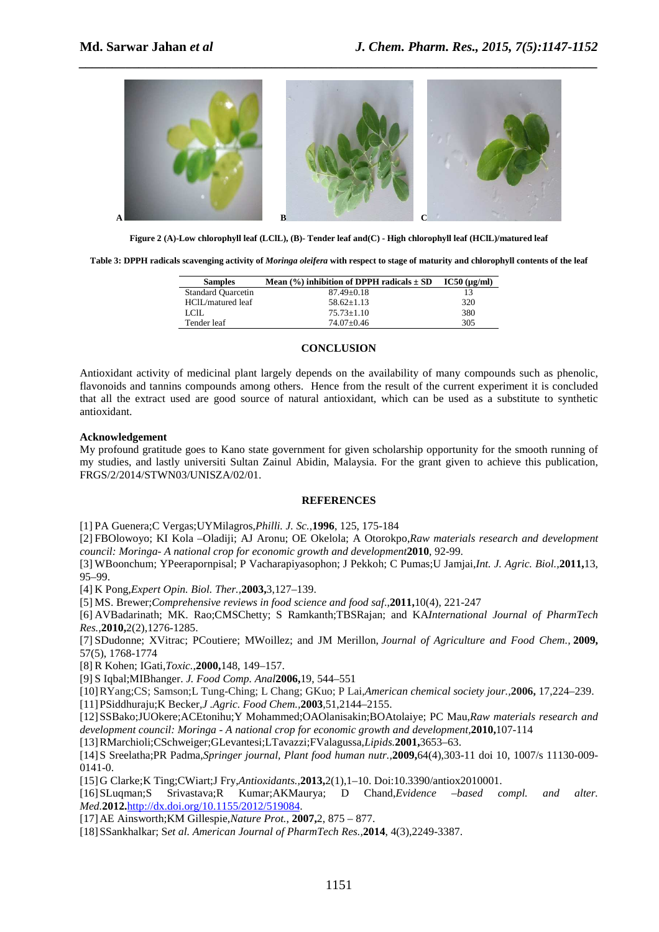

*\_\_\_\_\_\_\_\_\_\_\_\_\_\_\_\_\_\_\_\_\_\_\_\_\_\_\_\_\_\_\_\_\_\_\_\_\_\_\_\_\_\_\_\_\_\_\_\_\_\_\_\_\_\_\_\_\_\_\_\_\_\_\_\_\_\_\_\_\_\_\_\_\_\_\_\_\_\_*

**Figure 2 (A)-Low chlorophyll leaf (LClL), (B)- Tender leaf and(C) - High chlorophyll leaf (HClL)/matured leaf** 

**Table 3: DPPH radicals scavenging activity of** *Moringa oleifera* **with respect to stage of maturity and chlorophyll contents of the leaf** 

| <b>Samples</b>            | Mean $(\% )$ inhibition of DPPH radicals $\pm$ SD | $IC50$ ( $\mu$ g/ml) |
|---------------------------|---------------------------------------------------|----------------------|
| <b>Standard Quarcetin</b> | $87.49 + 0.18$                                    |                      |
| HClL/matured leaf         | $58.62+1.13$                                      | 320                  |
| LCIL                      | $75.73 + 1.10$                                    | 380                  |
| Tender leaf               | $74.07+0.46$                                      | 305                  |
|                           |                                                   |                      |

### **CONCLUSION**

Antioxidant activity of medicinal plant largely depends on the availability of many compounds such as phenolic, flavonoids and tannins compounds among others. Hence from the result of the current experiment it is concluded that all the extract used are good source of natural antioxidant, which can be used as a substitute to synthetic antioxidant.

## **Acknowledgement**

My profound gratitude goes to Kano state government for given scholarship opportunity for the smooth running of my studies, and lastly universiti Sultan Zainul Abidin, Malaysia. For the grant given to achieve this publication, FRGS/2/2014/STWN03/UNISZA/02/01.

## **REFERENCES**

[1] PA Guenera;C Vergas;UYMilagros,*Philli. J. Sc.,***1996**, 125, 175-184

[2] FBOlowoyo; KI Kola –Oladiji; AJ Aronu; OE Okelola; A Otorokpo,*Raw materials research and development council: Moringa- A national crop for economic growth and development***2010**, 92-99.

[3] WBoonchum; YPeerapornpisal; P Vacharapiyasophon; J Pekkoh; C Pumas;U Jamjai,*Int. J. Agric. Biol.,***2011,**13, 95–99.

[4] K Pong,*Expert Opin. Biol. Ther.,***2003,**3,127–139.

[5] MS. Brewer;*Comprehensive reviews in food science and food saf*.,**2011,**10(4), 221-247

[6] AVBadarinath; MK. Rao;CMSChetty; S Ramkanth;TBSRajan; and KA*International Journal of PharmTech Res.,***2010,**2(2),1276-1285.

[7] SDudonne; XVitrac; PCoutiere; MWoillez; and JM Merillon, *Journal of Agriculture and Food Chem.,* **2009,**  57(5), 1768-1774

[8] R Kohen; IGati,*Toxic.,***2000,**148, 149–157.

[9] S Iqbal;MIBhanger. *J. Food Comp. Anal***2006,**19, 544–551

[10]RYang;CS; Samson;L Tung-Ching; L Chang; GKuo; P Lai,*American chemical society jour.,***2006,** 17,224–239.

[11]PSiddhuraju;K Becker*,J .Agric. Food Chem.,***2003***,*51,2144–2155.

[12]SSBako;JUOkere;ACEtonihu;Y Mohammed;OAOlanisakin;BOAtolaiye; PC Mau,*Raw materials research and development council: Moringa - A national crop for economic growth and development,***2010,**107-114

[13]RMarchioli;CSchweiger;GLevantesi;LTavazzi;FValagussa,*Lipids.***2001,**3653–63.

[14]S Sreelatha;PR Padma,*Springer journal, Plant food human nutr.,***2009,**64(4),303-11 doi 10, 1007/s 11130-009- 0141-0.

[15]G Clarke;K Ting;CWiart;J Fry,*Antioxidants.,***2013,**2(1),1–10. Doi:10.3390/antiox2010001.

[16]SLuqman;S Srivastava;R Kumar;AKMaurya; D Chand,*Evidence –based compl. and alter. Med.***2012.**http://dx.doi.org/10.1155/2012/519084.

[17]AE Ainsworth;KM Gillespie,*Nature Prot.*, **2007,**2, 875 – 877.

[18]SSankhalkar; S*et al. American Journal of PharmTech Res.,***2014**, 4(3),2249-3387.